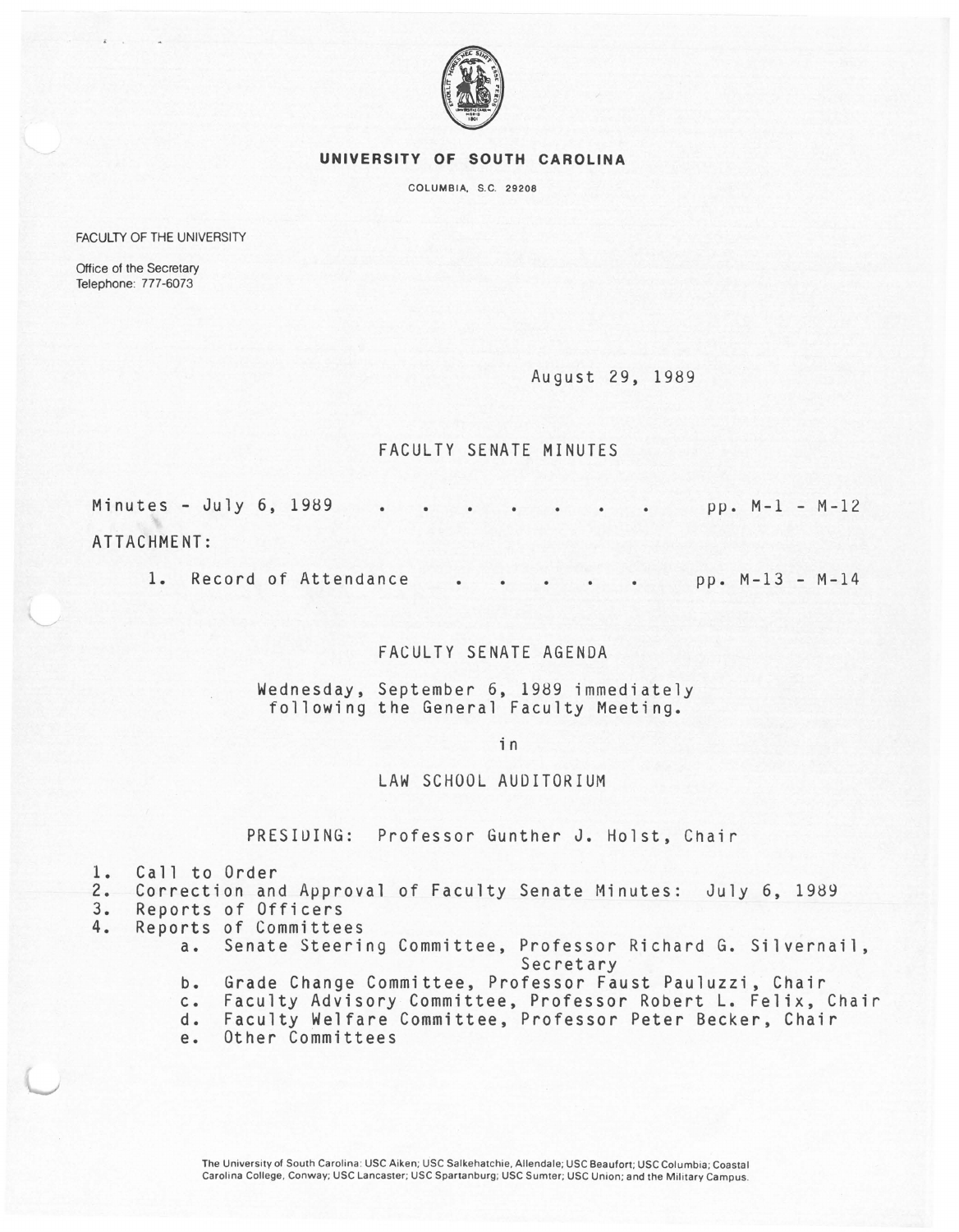

## **UNIVERSITY OF SOUTH CAROLINA**

COLUMBIA, S.C. 29208

FACULTY OF THE UNIVERSITY

Office of the Secretary Telephone: 777-6073

August 29, 1989

## FACULTY SENATE MINUTES

Minutes - July 6, 1989 ATTACHMENT: pp. M-1 - M-12

1. Record of Attendance pp. M-13 - M-14

## FACULTY SENATE AGENDA

Wednesday, September 6, 1989 immediately following the General Faculty Meeting.

in

## LAW SCHOOL AUDITORIUM

PRESIUING: Professor Gunther J. Holst, Chair

1. Call to Order<br>2. Correction and

2. Correction and Approval of Faculty Senate Minutes: July 6, 1989

- 3. Reports of Officers<br>4. Reports of Committee 4. Reports of Committees
	- a. Senate Steering Committee, Professor Richard G. Silvernail, Secretary
	- b. Grade Change Committee, Professor Faust Pauluzzi, Chair
	- c. Faculty Advisory Committee, Professor Robert L. Felix, Chair
	- d. Faculty Welfare Committee, Professor Peter Becker, Chair
	- Other Committees